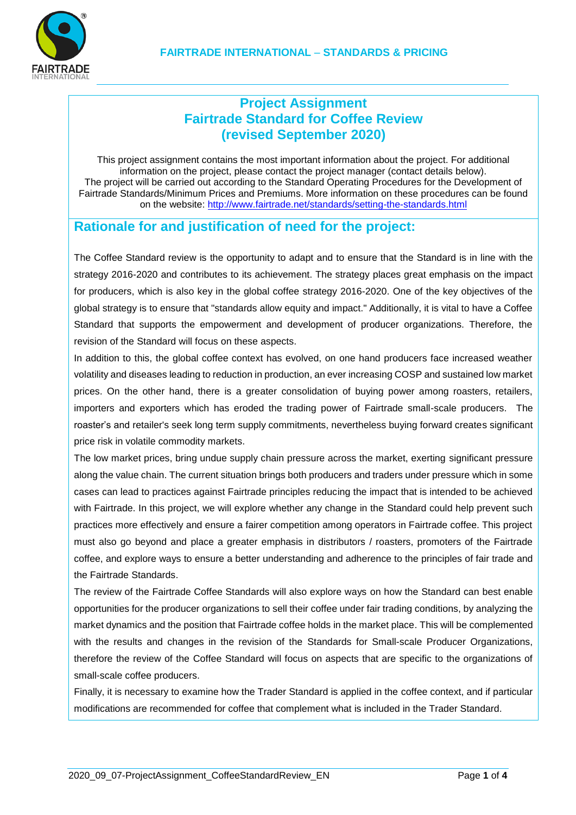## **Project Assignment Fairtrade Standard for Coffee Review (revised September 2020)**

This project assignment contains the most important information about the project. For additional information on the project, please contact the project manager (contact details below). The project will be carried out according to the Standard Operating Procedures for the Development of Fairtrade Standards/Minimum Prices and Premiums. More information on these procedures can be found on the website:<http://www.fairtrade.net/standards/setting-the-standards.html>

### **Rationale for and justification of need for the project:**

The Coffee Standard review is the opportunity to adapt and to ensure that the Standard is in line with the strategy 2016-2020 and contributes to its achievement. The strategy places great emphasis on the impact for producers, which is also key in the global coffee strategy 2016-2020. One of the key objectives of the global strategy is to ensure that "standards allow equity and impact." Additionally, it is vital to have a Coffee Standard that supports the empowerment and development of producer organizations. Therefore, the revision of the Standard will focus on these aspects.

In addition to this, the global coffee context has evolved, on one hand producers face increased weather volatility and diseases leading to reduction in production, an ever increasing COSP and sustained low market prices. On the other hand, there is a greater consolidation of buying power among roasters, retailers, importers and exporters which has eroded the trading power of Fairtrade small-scale producers. The roaster's and retailer's seek long term supply commitments, nevertheless buying forward creates significant price risk in volatile commodity markets.

The low market prices, bring undue supply chain pressure across the market, exerting significant pressure along the value chain. The current situation brings both producers and traders under pressure which in some cases can lead to practices against Fairtrade principles reducing the impact that is intended to be achieved with Fairtrade. In this project, we will explore whether any change in the Standard could help prevent such practices more effectively and ensure a fairer competition among operators in Fairtrade coffee. This project must also go beyond and place a greater emphasis in distributors / roasters, promoters of the Fairtrade coffee, and explore ways to ensure a better understanding and adherence to the principles of fair trade and the Fairtrade Standards.

The review of the Fairtrade Coffee Standards will also explore ways on how the Standard can best enable opportunities for the producer organizations to sell their coffee under fair trading conditions, by analyzing the market dynamics and the position that Fairtrade coffee holds in the market place. This will be complemented with the results and changes in the revision of the Standards for Small-scale Producer Organizations, therefore the review of the Coffee Standard will focus on aspects that are specific to the organizations of small-scale coffee producers.

Finally, it is necessary to examine how the Trader Standard is applied in the coffee context, and if particular modifications are recommended for coffee that complement what is included in the Trader Standard.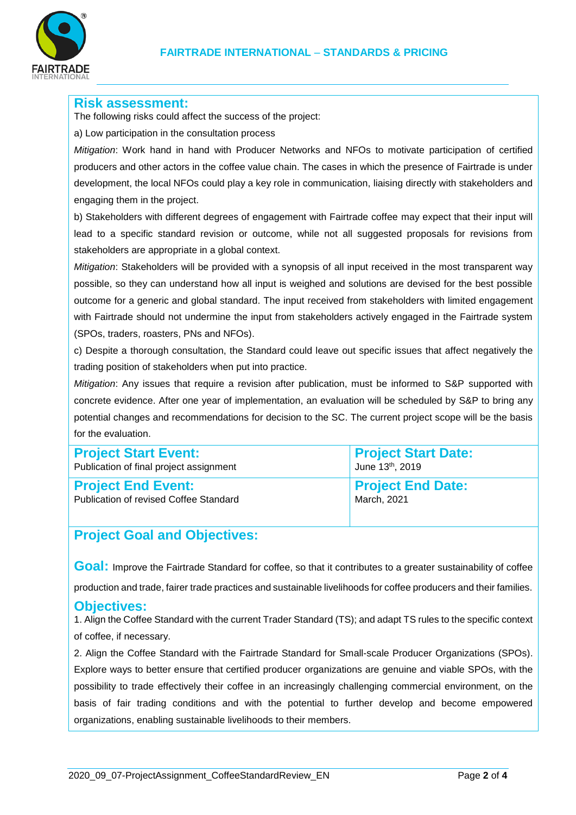

#### **Risk assessment:**

The following risks could affect the success of the project:

a) Low participation in the consultation process

*Mitigation*: Work hand in hand with Producer Networks and NFOs to motivate participation of certified producers and other actors in the coffee value chain. The cases in which the presence of Fairtrade is under development, the local NFOs could play a key role in communication, liaising directly with stakeholders and engaging them in the project.

b) Stakeholders with different degrees of engagement with Fairtrade coffee may expect that their input will lead to a specific standard revision or outcome, while not all suggested proposals for revisions from stakeholders are appropriate in a global context.

*Mitigation*: Stakeholders will be provided with a synopsis of all input received in the most transparent way possible, so they can understand how all input is weighed and solutions are devised for the best possible outcome for a generic and global standard. The input received from stakeholders with limited engagement with Fairtrade should not undermine the input from stakeholders actively engaged in the Fairtrade system (SPOs, traders, roasters, PNs and NFOs).

c) Despite a thorough consultation, the Standard could leave out specific issues that affect negatively the trading position of stakeholders when put into practice.

*Mitigation*: Any issues that require a revision after publication, must be informed to S&P supported with concrete evidence. After one year of implementation, an evaluation will be scheduled by S&P to bring any potential changes and recommendations for decision to the SC. The current project scope will be the basis for the evaluation.

| <b>Project Start Event:</b>                   | <b>Project Start Date:</b> |
|-----------------------------------------------|----------------------------|
| Publication of final project assignment       | June 13th, 2019            |
| <b>Project End Event:</b>                     | <b>Project End Date:</b>   |
| <b>Publication of revised Coffee Standard</b> | March, 2021                |

# **Project Goal and Objectives:**

**Goal:** Improve the Fairtrade Standard for coffee, so that it contributes to a greater sustainability of coffee

production and trade, fairer trade practices and sustainable livelihoods for coffee producers and their families.

### **Objectives:**

1. Align the Coffee Standard with the current Trader Standard (TS); and adapt TS rules to the specific context of coffee, if necessary.

2. Align the Coffee Standard with the Fairtrade Standard for Small-scale Producer Organizations (SPOs). Explore ways to better ensure that certified producer organizations are genuine and viable SPOs, with the possibility to trade effectively their coffee in an increasingly challenging commercial environment, on the basis of fair trading conditions and with the potential to further develop and become empowered organizations, enabling sustainable livelihoods to their members.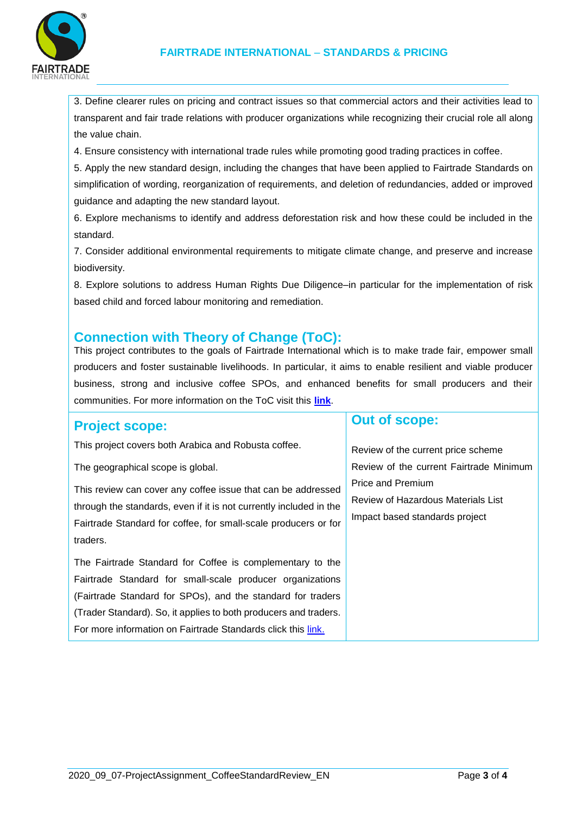

3. Define clearer rules on pricing and contract issues so that commercial actors and their activities lead to transparent and fair trade relations with producer organizations while recognizing their crucial role all along the value chain.

4. Ensure consistency with international trade rules while promoting good trading practices in coffee.

5. Apply the new standard design, including the changes that have been applied to Fairtrade Standards on simplification of wording, reorganization of requirements, and deletion of redundancies, added or improved guidance and adapting the new standard layout.

6. Explore mechanisms to identify and address deforestation risk and how these could be included in the standard.

7. Consider additional environmental requirements to mitigate climate change, and preserve and increase biodiversity.

8. Explore solutions to address Human Rights Due Diligence–in particular for the implementation of risk based child and forced labour monitoring and remediation.

### **Connection with Theory of Change (ToC):**

This project contributes to the goals of Fairtrade International which is to make trade fair, empower small producers and foster sustainable livelihoods. In particular, it aims to enable resilient and viable producer business, strong and inclusive coffee SPOs, and enhanced benefits for small producers and their communities. For more information on the ToC visit this **[link](https://www.fairtrade.net/impact-research/our-theory-of-change.html)**.

### **Project scope:**

This project covers both Arabica and Robusta coffee.

The geographical scope is global.

This review can cover any coffee issue that can be addressed through the standards, even if it is not currently included in the Fairtrade Standard for coffee, for small-scale producers or for traders.

The Fairtrade Standard for Coffee is complementary to the Fairtrade Standard for small-scale producer organizations (Fairtrade Standard for SPOs), and the standard for traders (Trader Standard). So, it applies to both producers and traders. For more information on Fairtrade Standards click this [link.](http://www.fairtrade.net/standards/our-standards.html)

# **Out of scope:**

Review of the current price scheme Review of the current Fairtrade Minimum Price and Premium Review of Hazardous Materials List Impact based standards project